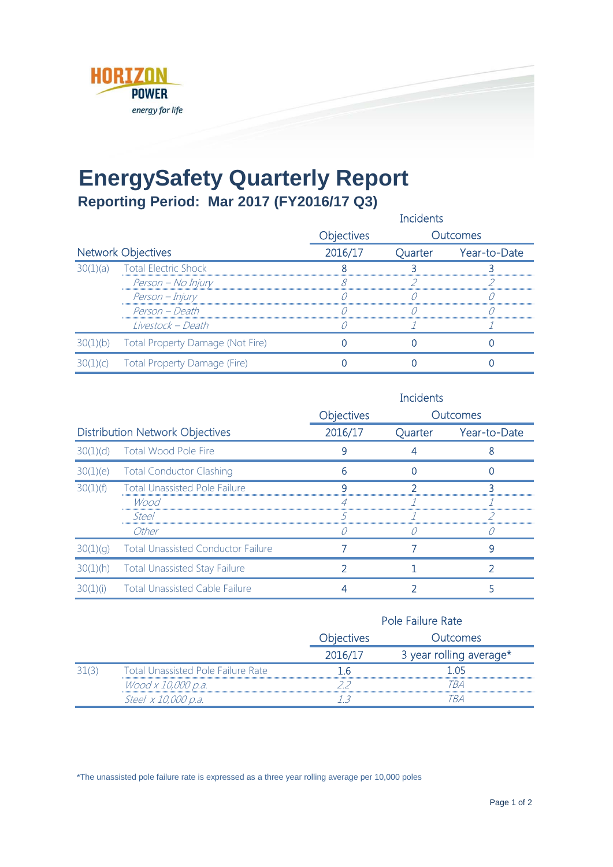

## **EnergySafety Quarterly Report**

**Reporting Period: Mar 2017 (FY2016/17 Q3)**

|                           |                                  |                   | Incidents |              |
|---------------------------|----------------------------------|-------------------|-----------|--------------|
|                           |                                  | <b>Objectives</b> |           | Outcomes     |
| <b>Network Objectives</b> |                                  | 2016/17           | Quarter   | Year-to-Date |
| 30(1)(a)                  | <b>Total Electric Shock</b>      |                   |           |              |
|                           | Person – No Injury               |                   |           |              |
|                           | Person – Injury                  |                   |           |              |
|                           | Person - Death                   |                   |           |              |
|                           | Livestock – Death                |                   |           |              |
| (b)                       | Total Property Damage (Not Fire) |                   |           |              |
| (C)                       | Total Property Damage (Fire)     |                   |           |              |

|                                        |                                           | <b>Incidents</b>  |         |                 |
|----------------------------------------|-------------------------------------------|-------------------|---------|-----------------|
|                                        |                                           | <b>Objectives</b> |         | <b>Outcomes</b> |
| <b>Distribution Network Objectives</b> |                                           | 2016/17           | Quarter | Year-to-Date    |
| 30(1)(d)                               | Total Wood Pole Fire                      |                   |         |                 |
|                                        | 30(1)(e) Total Conductor Clashing         |                   |         |                 |
| 30(1)(f)                               | <b>Total Unassisted Pole Failure</b>      |                   |         |                 |
|                                        | Wood                                      |                   |         |                 |
|                                        | Steel                                     |                   |         |                 |
|                                        | Other                                     |                   |         |                 |
| 30(1)(q)                               | <b>Total Unassisted Conductor Failure</b> |                   |         | 9               |
| 30(1)(h)                               | <b>Total Unassisted Stay Failure</b>      |                   |         |                 |
| 30(<br>(1)(i)                          | <b>Total Unassisted Cable Failure</b>     |                   |         |                 |

|  |                                           |                   | Pole Failure Rate       |  |  |
|--|-------------------------------------------|-------------------|-------------------------|--|--|
|  |                                           | <b>Objectives</b> | Outcomes                |  |  |
|  |                                           | 2016/17           | 3 year rolling average* |  |  |
|  | <b>Total Unassisted Pole Failure Rate</b> |                   |                         |  |  |
|  | Wood x 10,000 p.a.                        |                   | TR 4                    |  |  |
|  | Steel x 10,000 p.a.                       |                   |                         |  |  |

\*The unassisted pole failure rate is expressed as a three year rolling average per 10,000 poles